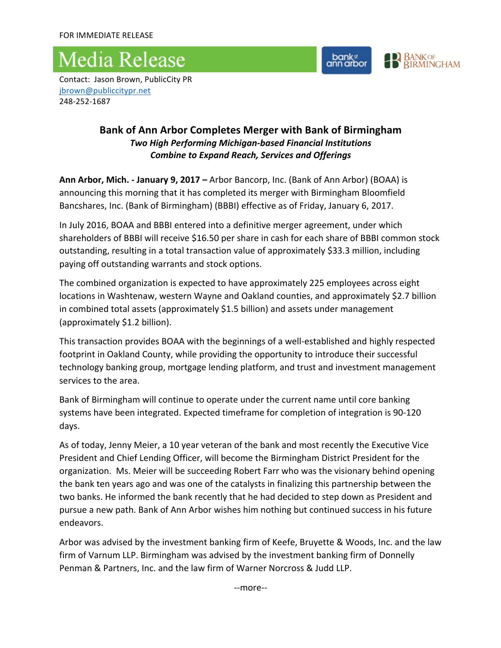## **Media Release**



Contact: Jason Brown, PublicCity PR [jbrown@publiccitypr.net](mailto:jbrown@publiccitypr.net) 248-252-1687

## **Bank of Ann Arbor Completes Merger with Bank of Birmingham** *Two High Performing Michigan-based Financial Institutions* **Combine to Expand Reach, Services and Offerings**

**Ann Arbor, Mich. - January 9, 2017** – Arbor Bancorp, Inc. (Bank of Ann Arbor) (BOAA) is announcing this morning that it has completed its merger with Birmingham Bloomfield Bancshares, Inc. (Bank of Birmingham) (BBBI) effective as of Friday, January 6, 2017.

In July 2016, BOAA and BBBI entered into a definitive merger agreement, under which shareholders of BBBI will receive \$16.50 per share in cash for each share of BBBI common stock outstanding, resulting in a total transaction value of approximately \$33.3 million, including paying off outstanding warrants and stock options.

The combined organization is expected to have approximately 225 employees across eight locations in Washtenaw, western Wayne and Oakland counties, and approximately \$2.7 billion in combined total assets (approximately  $$1.5$  billion) and assets under management (approximately \$1.2 billion).

This transaction provides BOAA with the beginnings of a well-established and highly respected footprint in Oakland County, while providing the opportunity to introduce their successful technology banking group, mortgage lending platform, and trust and investment management services to the area.

Bank of Birmingham will continue to operate under the current name until core banking systems have been integrated. Expected timeframe for completion of integration is 90-120 days. 

As of today, Jenny Meier, a 10 year veteran of the bank and most recently the Executive Vice President and Chief Lending Officer, will become the Birmingham District President for the organization. Ms. Meier will be succeeding Robert Farr who was the visionary behind opening the bank ten years ago and was one of the catalysts in finalizing this partnership between the two banks. He informed the bank recently that he had decided to step down as President and pursue a new path. Bank of Ann Arbor wishes him nothing but continued success in his future endeavors. 

Arbor was advised by the investment banking firm of Keefe, Bruyette & Woods, Inc. and the law firm of Varnum LLP. Birmingham was advised by the investment banking firm of Donnelly Penman & Partners, Inc. and the law firm of Warner Norcross & Judd LLP.

--more--